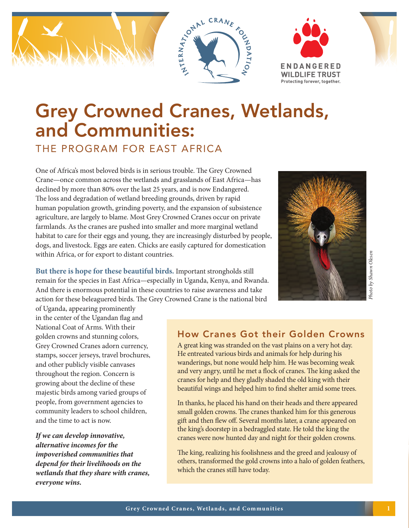

# Grey Crowned Cranes, Wetlands, and Communities:

THE PROGRAM FOR EAST AFRICA

One of Africa's most beloved birds is in serious trouble. The Grey Crowned Crane—once common across the wetlands and grasslands of East Africa—has declined by more than 80% over the last 25 years, and is now Endangered. The loss and degradation of wetland breeding grounds, driven by rapid human population growth, grinding poverty, and the expansion of subsistence agriculture, are largely to blame. Most Grey Crowned Cranes occur on private farmlands. As the cranes are pushed into smaller and more marginal wetland habitat to care for their eggs and young, they are increasingly disturbed by people, dogs, and livestock. Eggs are eaten. Chicks are easily captured for domestication within Africa, or for export to distant countries.

**But there is hope for these beautiful birds.** Important strongholds still remain for the species in East Africa—especially in Uganda, Kenya, and Rwanda. And there is enormous potential in these countries to raise awareness and take action for these beleaguered birds. The Grey Crowned Crane is the national bird



of Uganda, appearing prominently in the center of the Ugandan flag and National Coat of Arms. With their golden crowns and stunning colors, Grey Crowned Cranes adorn currency, stamps, soccer jerseys, travel brochures, and other publicly visible canvases throughout the region. Concern is growing about the decline of these majestic birds among varied groups of people, from government agencies to community leaders to school children, and the time to act is now.

*If we can develop innovative, alternative incomes for the impoverished communities that depend for their livelihoods on the wetlands that they share with cranes, everyone wins.* 

### How Cranes Got their Golden Crowns

A great king was stranded on the vast plains on a very hot day. He entreated various birds and animals for help during his wanderings, but none would help him. He was becoming weak and very angry, until he met a flock of cranes. The king asked the cranes for help and they gladly shaded the old king with their beautiful wings and helped him to find shelter amid some trees.

In thanks, he placed his hand on their heads and there appeared small golden crowns. The cranes thanked him for this generous gift and then flew off. Several months later, a crane appeared on the king's doorstep in a bedraggled state. He told the king the cranes were now hunted day and night for their golden crowns.

The king, realizing his foolishness and the greed and jealousy of others, transformed the gold crowns into a halo of golden feathers, which the cranes still have today.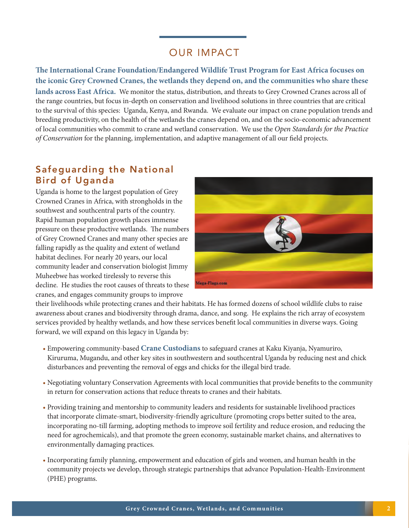### OUR IMPACT

**The International Crane Foundation/Endangered Wildlife Trust Program for East Africa focuses on the iconic Grey Crowned Cranes, the wetlands they depend on, and the communities who share these lands across East Africa.** We monitor the status, distribution, and threats to Grey Crowned Cranes across all of the range countries, but focus in-depth on conservation and livelihood solutions in three countries that are critical to the survival of this species: Uganda, Kenya, and Rwanda. We evaluate our impact on crane population trends and breeding productivity, on the health of the wetlands the cranes depend on, and on the socio-economic advancement of local communities who commit to crane and wetland conservation. We use the *Open Standards for the Practice of Conservation* for the planning, implementation, and adaptive management of all our field projects.

### Safeguarding the National Bird of Uganda

Uganda is home to the largest population of Grey Crowned Cranes in Africa, with strongholds in the southwest and southcentral parts of the country. Rapid human population growth places immense pressure on these productive wetlands. The numbers of Grey Crowned Cranes and many other species are falling rapidly as the quality and extent of wetland habitat declines. For nearly 20 years, our local community leader and conservation biologist Jimmy Muheebwe has worked tirelessly to reverse this decline. He studies the root causes of threats to these cranes, and engages community groups to improve



their livelihoods while protecting cranes and their habitats. He has formed dozens of school wildlife clubs to raise awareness about cranes and biodiversity through drama, dance, and song. He explains the rich array of ecosystem services provided by healthy wetlands, and how these services benefit local communities in diverse ways. Going forward, we will expand on this legacy in Uganda by:

- Empowering community-based **Crane Custodians** to safeguard cranes at Kaku Kiyanja, Nyamuriro, Kiruruma, Mugandu, and other key sites in southwestern and southcentral Uganda by reducing nest and chick disturbances and preventing the removal of eggs and chicks for the illegal bird trade.
- Negotiating voluntary Conservation Agreements with local communities that provide benefits to the community in return for conservation actions that reduce threats to cranes and their habitats.
- Providing training and mentorship to community leaders and residents for sustainable livelihood practices that incorporate climate-smart, biodiversity-friendly agriculture (promoting crops better suited to the area, incorporating no-till farming, adopting methods to improve soil fertility and reduce erosion, and reducing the need for agrochemicals), and that promote the green economy, sustainable market chains, and alternatives to environmentally damaging practices.
- Incorporating family planning, empowerment and education of girls and women, and human health in the community projects we develop, through strategic partnerships that advance Population-Health-Environment (PHE) programs.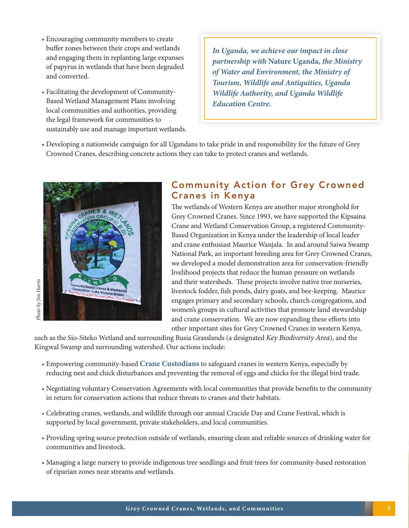- Encouraging community members to create buffer zones between their crops and wetlands and engaging them in replanting large expanses of papyrus in wetlands that have been degraded and converted.
- Facilitating the development of Community-Based Wetland Management Plans involving local communities and authorities, providing the legal framework for communities to sustainably use and manage important wetlands.

*In Uganda, we achieve our impact in close partnership with* **Nature Uganda,** *the Ministry of Water and Environment, the Ministry of Tourism, Wildlife and Antiquities, Uganda Wildlife Authority, and Uganda Wildlife Education Centre.*

• Developing a nationwide campaign for all Ugandans to take pride in and responsibility for the future of Grey Crowned Cranes, describing concrete actions they can take to protect cranes and wetlands.



## Photo by Jim Harris *Photo by Jim Harris*

### Community Action for Grey Crowned Cranes in Kenya

The wetlands of Western Kenya are another major stronghold for Grey Crowned Cranes. Since 1993, we have supported the Kipsaina Crane and Wetland Conservation Group, a registered Community-Based Organization in Kenya under the leadership of local leader and crane enthusiast Maurice Wanjala. In and around Saiwa Swamp National Park, an important breeding area for Grey Crowned Cranes, we developed a model demonstration area for conservation-friendly livelihood projects that reduce the human pressure on wetlands and their watersheds. These projects involve native tree nurseries, livestock fodder, fish ponds, dairy goats, and bee-keeping. Maurice engages primary and secondary schools, church congregations, and women's groups in cultural activities that promote land stewardship and crane conservation. We are now expanding these efforts into other important sites for Grey Crowned Cranes in western Kenya,

such as the Sio-Siteko Wetland and surrounding Busia Grasslands (a designated *Key Biodiversity Area*), and the Kingwal Swamp and surrounding watershed. Our actions include:

- Empowering community-based **Crane Custodians** to safeguard cranes in western Kenya, especially by reducing nest and chick disturbances and preventing the removal of eggs and chicks for the illegal bird trade.
- Negotiating voluntary Conservation Agreements with local communities that provide benefits to the community in return for conservation actions that reduce threats to cranes and their habitats.
- Celebrating cranes, wetlands, and wildlife through our annual Cracide Day and Crane Festival, which is supported by local government, private stakeholders, and local communities.
- Providing spring source protection outside of wetlands, ensuring clean and reliable sources of drinking water for communities and livestock.
- Managing a large nursery to provide indigenous tree seedlings and fruit trees for community-based restoration of riparian zones near streams and wetlands.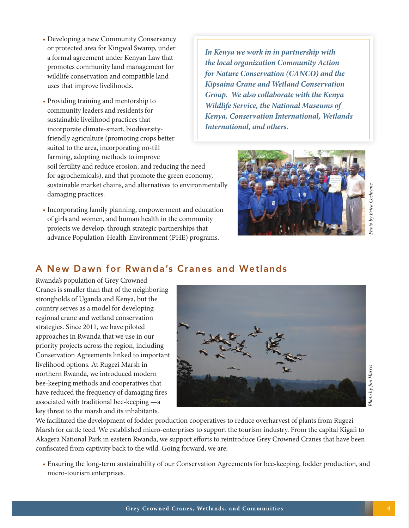- Developing a new Community Conservancy or protected area for Kingwal Swamp, under a formal agreement under Kenyan Law that promotes community land management for wildlife conservation and compatible land uses that improve livelihoods.
- Providing training and mentorship to community leaders and residents for sustainable livelihood practices that incorporate climate-smart, biodiversityfriendly agriculture (promoting crops better suited to the area, incorporating no-till farming, adopting methods to improve soil fertility and reduce erosion, and reducing the need for agrochemicals), and that promote the green economy, sustainable market chains, and alternatives to environmentally damaging practices.
- Incorporating family planning, empowerment and education of girls and women, and human health in the community projects we develop, through strategic partnerships that advance Population-Health-Environment (PHE) programs.

*In Kenya we work in in partnership with the local organization Community Action for Nature Conservation (CANCO) and the Kipsaina Crane and Wetland Conservation Group. We also collaborate with the Kenya Wildlife Service, the National Museums of Kenya, Conservation International, Wetlands International, and others.*



*Photo by Erica Cochrane* hoto by Erica Cochrane

### A New Dawn for Rwanda's Cranes and Wetlands

Rwanda's population of Grey Crowned Cranes is smaller than that of the neighboring strongholds of Uganda and Kenya, but the country serves as a model for developing regional crane and wetland conservation strategies. Since 2011, we have piloted approaches in Rwanda that we use in our priority projects across the region, including Conservation Agreements linked to important livelihood options. At Rugezi Marsh in northern Rwanda, we introduced modern bee-keeping methods and cooperatives that have reduced the frequency of damaging fires associated with traditional bee-keeping —a key threat to the marsh and its inhabitants.



We facilitated the development of fodder production cooperatives to reduce overharvest of plants from Rugezi Marsh for cattle feed. We established micro-enterprises to support the tourism industry. From the capital Kigali to Akagera National Park in eastern Rwanda, we support efforts to reintroduce Grey Crowned Cranes that have been confiscated from captivity back to the wild. Going forward, we are:

• Ensuring the long-term sustainability of our Conservation Agreements for bee-keeping, fodder production, and micro-tourism enterprises.